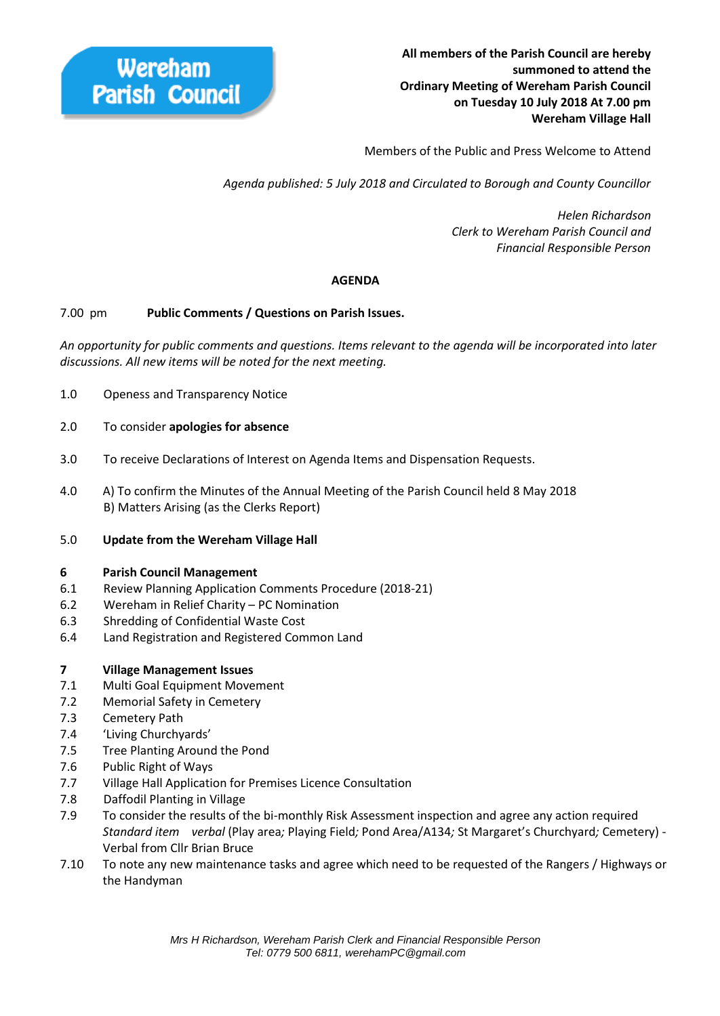Members of the Public and Press Welcome to Attend

 *Agenda published: 5 July 2018 and Circulated to Borough and County Councillor* 

 *Helen Richardson Clerk to Wereham Parish Council and Financial Responsible Person*

# **AGENDA**

## 7.00 pm **Public Comments / Questions on Parish Issues.**

*An opportunity for public comments and questions. Items relevant to the agenda will be incorporated into later discussions. All new items will be noted for the next meeting.*

- 1.0 Openess and Transparency Notice
- 2.0 To consider **apologies for absence**
- 3.0 To receive Declarations of Interest on Agenda Items and Dispensation Requests.
- 4.0 A) To confirm the Minutes of the Annual Meeting of the Parish Council held 8 May 2018 B) Matters Arising (as the Clerks Report)
- 5.0 **Update from the Wereham Village Hall**

#### **6 Parish Council Management**

- 6.1 Review Planning Application Comments Procedure (2018-21)
- 6.2 Wereham in Relief Charity PC Nomination
- 6.3 Shredding of Confidential Waste Cost
- 6.4 Land Registration and Registered Common Land

## **7 Village Management Issues**

- 7.1 Multi Goal Equipment Movement
- 7.2 Memorial Safety in Cemetery
- 7.3 Cemetery Path
- 7.4 'Living Churchyards'
- 7.5 Tree Planting Around the Pond
- 7.6 Public Right of Ways
- 7.7 Village Hall Application for Premises Licence Consultation
- 7.8 Daffodil Planting in Village
- 7.9 To consider the results of the bi-monthly Risk Assessment inspection and agree any action required *Standard item verbal* (Play area*;* Playing Field*;* Pond Area/A134*;* St Margaret's Churchyard*;* Cemetery) - Verbal from Cllr Brian Bruce
- 7.10 To note any new maintenance tasks and agree which need to be requested of the Rangers / Highways or the Handyman